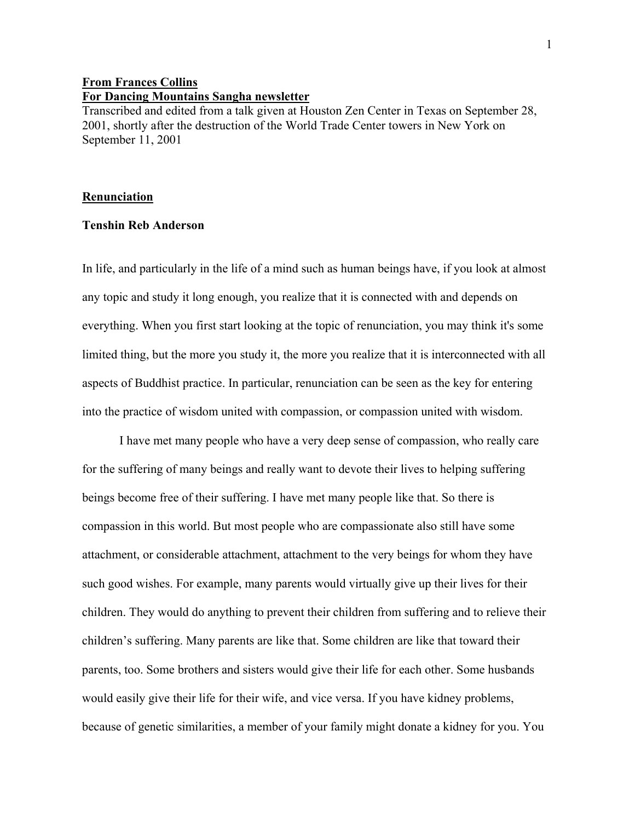## **From Frances Collins For Dancing Mountains Sangha newsletter**

Transcribed and edited from a talk given at Houston Zen Center in Texas on September 28, 2001, shortly after the destruction of the World Trade Center towers in New York on September 11, 2001

## **Renunciation**

## **Tenshin Reb Anderson**

In life, and particularly in the life of a mind such as human beings have, if you look at almost any topic and study it long enough, you realize that it is connected with and depends on everything. When you first start looking at the topic of renunciation, you may think it's some limited thing, but the more you study it, the more you realize that it is interconnected with all aspects of Buddhist practice. In particular, renunciation can be seen as the key for entering into the practice of wisdom united with compassion, or compassion united with wisdom.

I have met many people who have a very deep sense of compassion, who really care for the suffering of many beings and really want to devote their lives to helping suffering beings become free of their suffering. I have met many people like that. So there is compassion in this world. But most people who are compassionate also still have some attachment, or considerable attachment, attachment to the very beings for whom they have such good wishes. For example, many parents would virtually give up their lives for their children. They would do anything to prevent their children from suffering and to relieve their children's suffering. Many parents are like that. Some children are like that toward their parents, too. Some brothers and sisters would give their life for each other. Some husbands would easily give their life for their wife, and vice versa. If you have kidney problems, because of genetic similarities, a member of your family might donate a kidney for you. You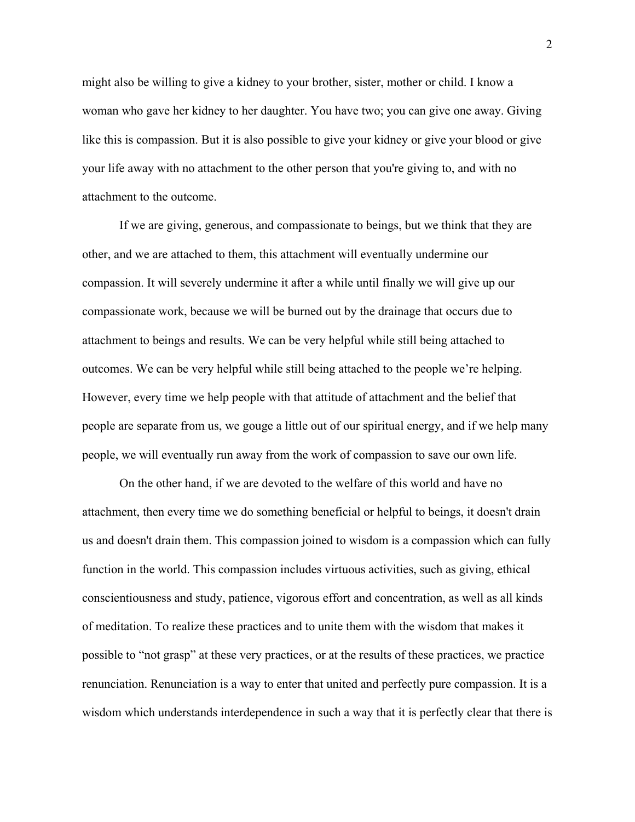might also be willing to give a kidney to your brother, sister, mother or child. I know a woman who gave her kidney to her daughter. You have two; you can give one away. Giving like this is compassion. But it is also possible to give your kidney or give your blood or give your life away with no attachment to the other person that you're giving to, and with no attachment to the outcome.

If we are giving, generous, and compassionate to beings, but we think that they are other, and we are attached to them, this attachment will eventually undermine our compassion. It will severely undermine it after a while until finally we will give up our compassionate work, because we will be burned out by the drainage that occurs due to attachment to beings and results. We can be very helpful while still being attached to outcomes. We can be very helpful while still being attached to the people we're helping. However, every time we help people with that attitude of attachment and the belief that people are separate from us, we gouge a little out of our spiritual energy, and if we help many people, we will eventually run away from the work of compassion to save our own life.

On the other hand, if we are devoted to the welfare of this world and have no attachment, then every time we do something beneficial or helpful to beings, it doesn't drain us and doesn't drain them. This compassion joined to wisdom is a compassion which can fully function in the world. This compassion includes virtuous activities, such as giving, ethical conscientiousness and study, patience, vigorous effort and concentration, as well as all kinds of meditation. To realize these practices and to unite them with the wisdom that makes it possible to "not grasp" at these very practices, or at the results of these practices, we practice renunciation. Renunciation is a way to enter that united and perfectly pure compassion. It is a wisdom which understands interdependence in such a way that it is perfectly clear that there is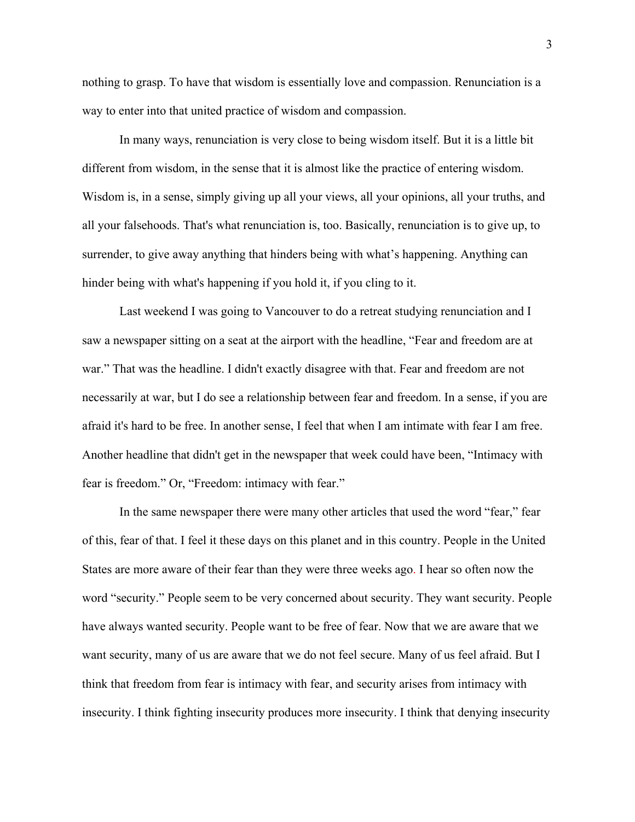nothing to grasp. To have that wisdom is essentially love and compassion. Renunciation is a way to enter into that united practice of wisdom and compassion.

In many ways, renunciation is very close to being wisdom itself. But it is a little bit different from wisdom, in the sense that it is almost like the practice of entering wisdom. Wisdom is, in a sense, simply giving up all your views, all your opinions, all your truths, and all your falsehoods. That's what renunciation is, too. Basically, renunciation is to give up, to surrender, to give away anything that hinders being with what's happening. Anything can hinder being with what's happening if you hold it, if you cling to it.

Last weekend I was going to Vancouver to do a retreat studying renunciation and I saw a newspaper sitting on a seat at the airport with the headline, "Fear and freedom are at war." That was the headline. I didn't exactly disagree with that. Fear and freedom are not necessarily at war, but I do see a relationship between fear and freedom. In a sense, if you are afraid it's hard to be free. In another sense, I feel that when I am intimate with fear I am free. Another headline that didn't get in the newspaper that week could have been, "Intimacy with fear is freedom." Or, "Freedom: intimacy with fear."

In the same newspaper there were many other articles that used the word "fear," fear of this, fear of that. I feel it these days on this planet and in this country. People in the United States are more aware of their fear than they were three weeks ago. I hear so often now the word "security." People seem to be very concerned about security. They want security. People have always wanted security. People want to be free of fear. Now that we are aware that we want security, many of us are aware that we do not feel secure. Many of us feel afraid. But I think that freedom from fear is intimacy with fear, and security arises from intimacy with insecurity. I think fighting insecurity produces more insecurity. I think that denying insecurity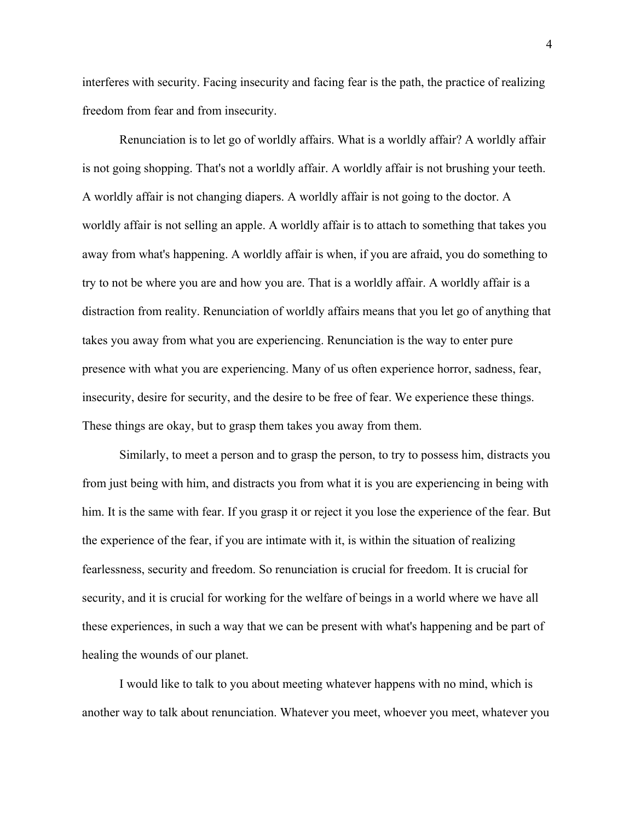interferes with security. Facing insecurity and facing fear is the path, the practice of realizing freedom from fear and from insecurity.

Renunciation is to let go of worldly affairs. What is a worldly affair? A worldly affair is not going shopping. That's not a worldly affair. A worldly affair is not brushing your teeth. A worldly affair is not changing diapers. A worldly affair is not going to the doctor. A worldly affair is not selling an apple. A worldly affair is to attach to something that takes you away from what's happening. A worldly affair is when, if you are afraid, you do something to try to not be where you are and how you are. That is a worldly affair. A worldly affair is a distraction from reality. Renunciation of worldly affairs means that you let go of anything that takes you away from what you are experiencing. Renunciation is the way to enter pure presence with what you are experiencing. Many of us often experience horror, sadness, fear, insecurity, desire for security, and the desire to be free of fear. We experience these things. These things are okay, but to grasp them takes you away from them.

Similarly, to meet a person and to grasp the person, to try to possess him, distracts you from just being with him, and distracts you from what it is you are experiencing in being with him. It is the same with fear. If you grasp it or reject it you lose the experience of the fear. But the experience of the fear, if you are intimate with it, is within the situation of realizing fearlessness, security and freedom. So renunciation is crucial for freedom. It is crucial for security, and it is crucial for working for the welfare of beings in a world where we have all these experiences, in such a way that we can be present with what's happening and be part of healing the wounds of our planet.

I would like to talk to you about meeting whatever happens with no mind, which is another way to talk about renunciation. Whatever you meet, whoever you meet, whatever you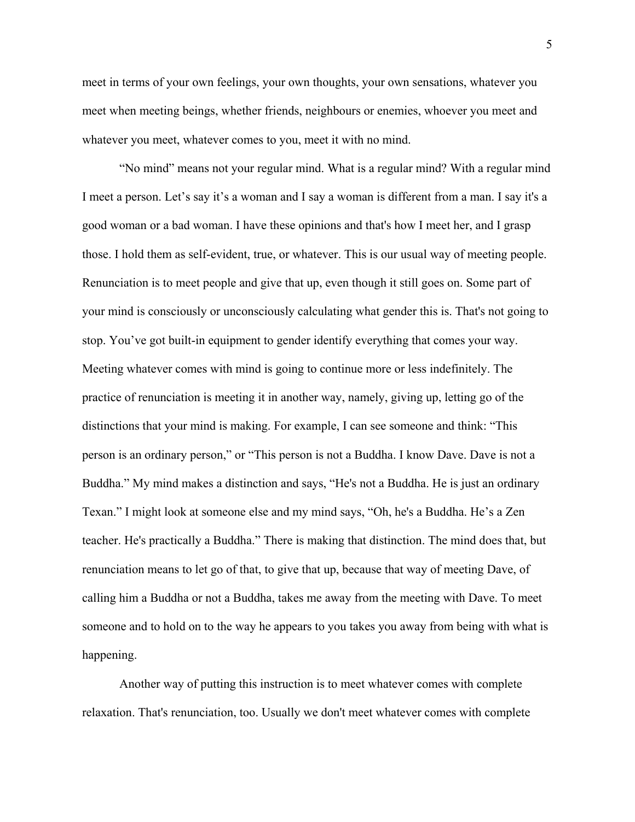meet in terms of your own feelings, your own thoughts, your own sensations, whatever you meet when meeting beings, whether friends, neighbours or enemies, whoever you meet and whatever you meet, whatever comes to you, meet it with no mind.

"No mind" means not your regular mind. What is a regular mind? With a regular mind I meet a person. Let's say it's a woman and I say a woman is different from a man. I say it's a good woman or a bad woman. I have these opinions and that's how I meet her, and I grasp those. I hold them as self-evident, true, or whatever. This is our usual way of meeting people. Renunciation is to meet people and give that up, even though it still goes on. Some part of your mind is consciously or unconsciously calculating what gender this is. That's not going to stop. You've got built-in equipment to gender identify everything that comes your way. Meeting whatever comes with mind is going to continue more or less indefinitely. The practice of renunciation is meeting it in another way, namely, giving up, letting go of the distinctions that your mind is making. For example, I can see someone and think: "This person is an ordinary person," or "This person is not a Buddha. I know Dave. Dave is not a Buddha." My mind makes a distinction and says, "He's not a Buddha. He is just an ordinary Texan." I might look at someone else and my mind says, "Oh, he's a Buddha. He's a Zen teacher. He's practically a Buddha." There is making that distinction. The mind does that, but renunciation means to let go of that, to give that up, because that way of meeting Dave, of calling him a Buddha or not a Buddha, takes me away from the meeting with Dave. To meet someone and to hold on to the way he appears to you takes you away from being with what is happening.

Another way of putting this instruction is to meet whatever comes with complete relaxation. That's renunciation, too. Usually we don't meet whatever comes with complete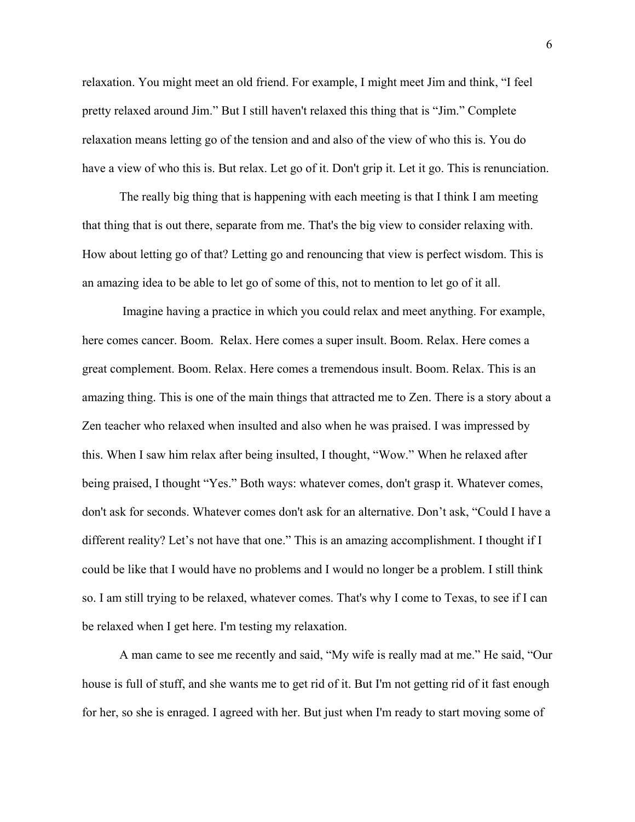relaxation. You might meet an old friend. For example, I might meet Jim and think, "I feel pretty relaxed around Jim." But I still haven't relaxed this thing that is "Jim." Complete relaxation means letting go of the tension and and also of the view of who this is. You do have a view of who this is. But relax. Let go of it. Don't grip it. Let it go. This is renunciation.

The really big thing that is happening with each meeting is that I think I am meeting that thing that is out there, separate from me. That's the big view to consider relaxing with. How about letting go of that? Letting go and renouncing that view is perfect wisdom. This is an amazing idea to be able to let go of some of this, not to mention to let go of it all.

 Imagine having a practice in which you could relax and meet anything. For example, here comes cancer. Boom. Relax. Here comes a super insult. Boom. Relax. Here comes a great complement. Boom. Relax. Here comes a tremendous insult. Boom. Relax. This is an amazing thing. This is one of the main things that attracted me to Zen. There is a story about a Zen teacher who relaxed when insulted and also when he was praised. I was impressed by this. When I saw him relax after being insulted, I thought, "Wow." When he relaxed after being praised, I thought "Yes." Both ways: whatever comes, don't grasp it. Whatever comes, don't ask for seconds. Whatever comes don't ask for an alternative. Don't ask, "Could I have a different reality? Let's not have that one." This is an amazing accomplishment. I thought if I could be like that I would have no problems and I would no longer be a problem. I still think so. I am still trying to be relaxed, whatever comes. That's why I come to Texas, to see if I can be relaxed when I get here. I'm testing my relaxation.

A man came to see me recently and said, "My wife is really mad at me." He said, "Our house is full of stuff, and she wants me to get rid of it. But I'm not getting rid of it fast enough for her, so she is enraged. I agreed with her. But just when I'm ready to start moving some of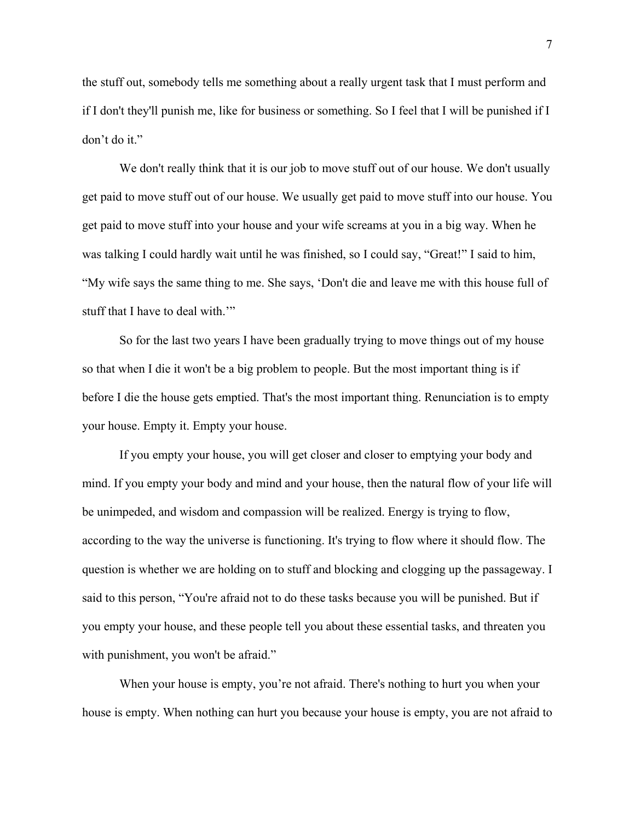the stuff out, somebody tells me something about a really urgent task that I must perform and if I don't they'll punish me, like for business or something. So I feel that I will be punished if I don't do it."

We don't really think that it is our job to move stuff out of our house. We don't usually get paid to move stuff out of our house. We usually get paid to move stuff into our house. You get paid to move stuff into your house and your wife screams at you in a big way. When he was talking I could hardly wait until he was finished, so I could say, "Great!" I said to him, "My wife says the same thing to me. She says, 'Don't die and leave me with this house full of stuff that I have to deal with.""

So for the last two years I have been gradually trying to move things out of my house so that when I die it won't be a big problem to people. But the most important thing is if before I die the house gets emptied. That's the most important thing. Renunciation is to empty your house. Empty it. Empty your house.

If you empty your house, you will get closer and closer to emptying your body and mind. If you empty your body and mind and your house, then the natural flow of your life will be unimpeded, and wisdom and compassion will be realized. Energy is trying to flow, according to the way the universe is functioning. It's trying to flow where it should flow. The question is whether we are holding on to stuff and blocking and clogging up the passageway. I said to this person, "You're afraid not to do these tasks because you will be punished. But if you empty your house, and these people tell you about these essential tasks, and threaten you with punishment, you won't be afraid."

When your house is empty, you're not afraid. There's nothing to hurt you when your house is empty. When nothing can hurt you because your house is empty, you are not afraid to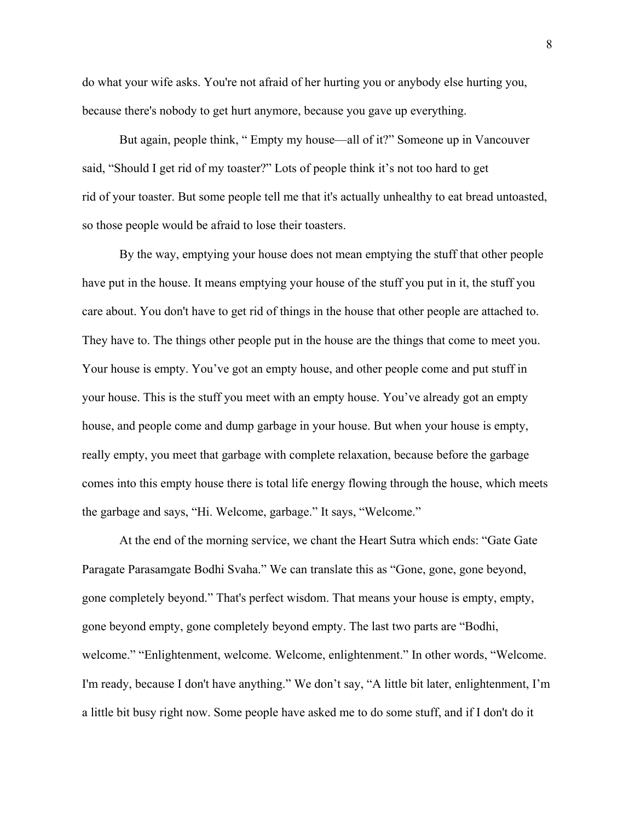do what your wife asks. You're not afraid of her hurting you or anybody else hurting you, because there's nobody to get hurt anymore, because you gave up everything.

But again, people think, " Empty my house—all of it?" Someone up in Vancouver said, "Should I get rid of my toaster?" Lots of people think it's not too hard to get rid of your toaster. But some people tell me that it's actually unhealthy to eat bread untoasted, so those people would be afraid to lose their toasters.

By the way, emptying your house does not mean emptying the stuff that other people have put in the house. It means emptying your house of the stuff you put in it, the stuff you care about. You don't have to get rid of things in the house that other people are attached to. They have to. The things other people put in the house are the things that come to meet you. Your house is empty. You've got an empty house, and other people come and put stuff in your house. This is the stuff you meet with an empty house. You've already got an empty house, and people come and dump garbage in your house. But when your house is empty, really empty, you meet that garbage with complete relaxation, because before the garbage comes into this empty house there is total life energy flowing through the house, which meets the garbage and says, "Hi. Welcome, garbage." It says, "Welcome."

At the end of the morning service, we chant the Heart Sutra which ends: "Gate Gate Paragate Parasamgate Bodhi Svaha." We can translate this as "Gone, gone, gone beyond, gone completely beyond." That's perfect wisdom. That means your house is empty, empty, gone beyond empty, gone completely beyond empty. The last two parts are "Bodhi, welcome." "Enlightenment, welcome. Welcome, enlightenment." In other words, "Welcome. I'm ready, because I don't have anything." We don't say, "A little bit later, enlightenment, I'm a little bit busy right now. Some people have asked me to do some stuff, and if I don't do it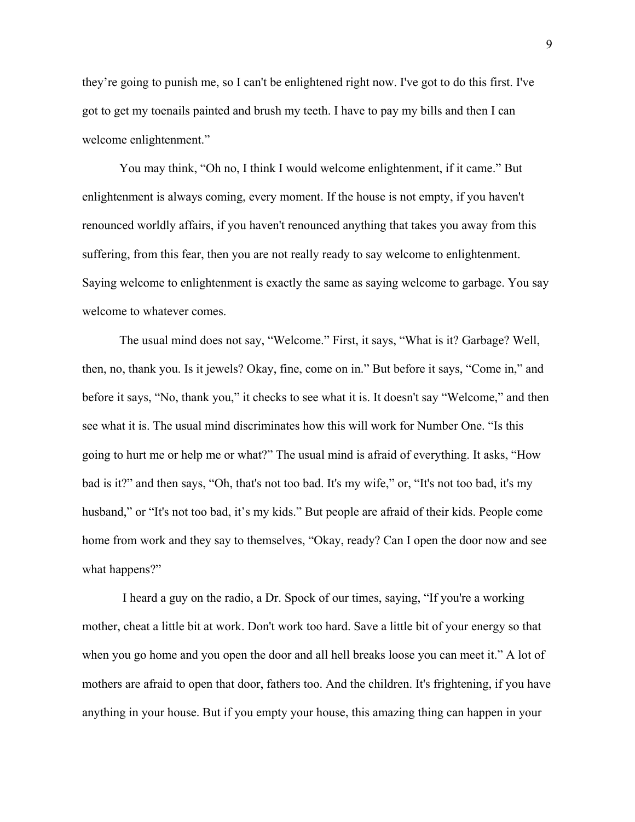they're going to punish me, so I can't be enlightened right now. I've got to do this first. I've got to get my toenails painted and brush my teeth. I have to pay my bills and then I can welcome enlightenment."

You may think, "Oh no, I think I would welcome enlightenment, if it came." But enlightenment is always coming, every moment. If the house is not empty, if you haven't renounced worldly affairs, if you haven't renounced anything that takes you away from this suffering, from this fear, then you are not really ready to say welcome to enlightenment. Saying welcome to enlightenment is exactly the same as saying welcome to garbage. You say welcome to whatever comes.

The usual mind does not say, "Welcome." First, it says, "What is it? Garbage? Well, then, no, thank you. Is it jewels? Okay, fine, come on in." But before it says, "Come in," and before it says, "No, thank you," it checks to see what it is. It doesn't say "Welcome," and then see what it is. The usual mind discriminates how this will work for Number One. "Is this going to hurt me or help me or what?" The usual mind is afraid of everything. It asks, "How bad is it?" and then says, "Oh, that's not too bad. It's my wife," or, "It's not too bad, it's my husband," or "It's not too bad, it's my kids." But people are afraid of their kids. People come home from work and they say to themselves, "Okay, ready? Can I open the door now and see what happens?"

 I heard a guy on the radio, a Dr. Spock of our times, saying, "If you're a working mother, cheat a little bit at work. Don't work too hard. Save a little bit of your energy so that when you go home and you open the door and all hell breaks loose you can meet it." A lot of mothers are afraid to open that door, fathers too. And the children. It's frightening, if you have anything in your house. But if you empty your house, this amazing thing can happen in your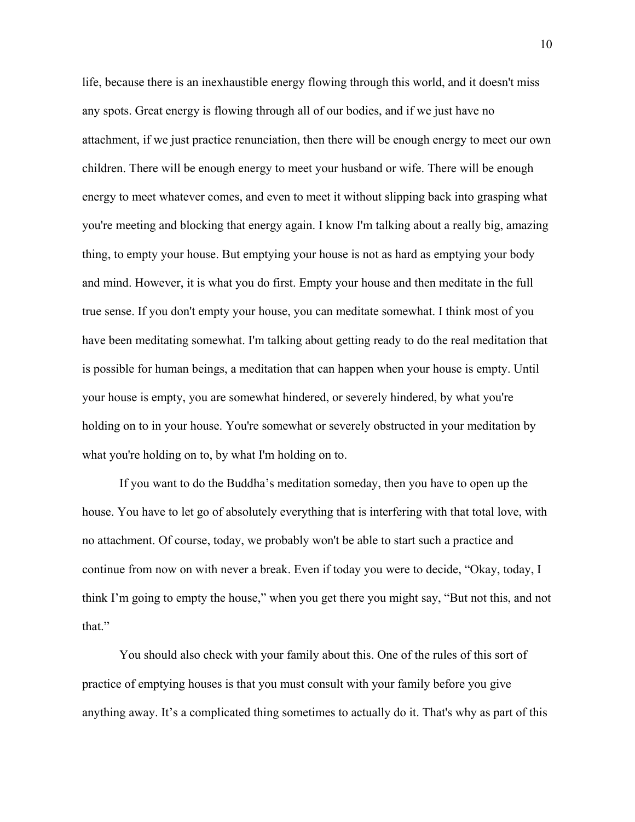life, because there is an inexhaustible energy flowing through this world, and it doesn't miss any spots. Great energy is flowing through all of our bodies, and if we just have no attachment, if we just practice renunciation, then there will be enough energy to meet our own children. There will be enough energy to meet your husband or wife. There will be enough energy to meet whatever comes, and even to meet it without slipping back into grasping what you're meeting and blocking that energy again. I know I'm talking about a really big, amazing thing, to empty your house. But emptying your house is not as hard as emptying your body and mind. However, it is what you do first. Empty your house and then meditate in the full true sense. If you don't empty your house, you can meditate somewhat. I think most of you have been meditating somewhat. I'm talking about getting ready to do the real meditation that is possible for human beings, a meditation that can happen when your house is empty. Until your house is empty, you are somewhat hindered, or severely hindered, by what you're holding on to in your house. You're somewhat or severely obstructed in your meditation by what you're holding on to, by what I'm holding on to.

If you want to do the Buddha's meditation someday, then you have to open up the house. You have to let go of absolutely everything that is interfering with that total love, with no attachment. Of course, today, we probably won't be able to start such a practice and continue from now on with never a break. Even if today you were to decide, "Okay, today, I think I'm going to empty the house," when you get there you might say, "But not this, and not that."

You should also check with your family about this. One of the rules of this sort of practice of emptying houses is that you must consult with your family before you give anything away. It's a complicated thing sometimes to actually do it. That's why as part of this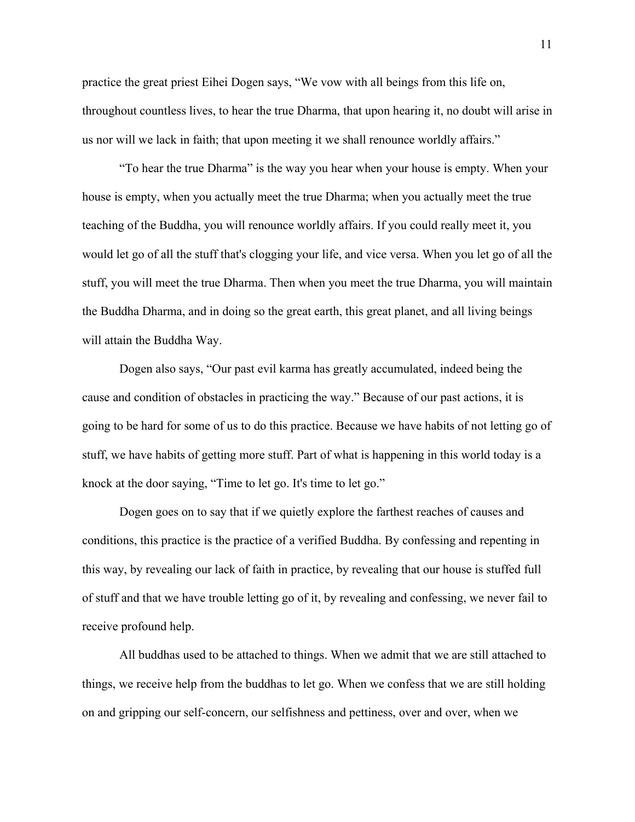practice the great priest Eihei Dogen says, "We vow with all beings from this life on, throughout countless lives, to hear the true Dharma, that upon hearing it, no doubt will arise in us nor will we lack in faith; that upon meeting it we shall renounce worldly affairs."

"To hear the true Dharma" is the way you hear when your house is empty. When your house is empty, when you actually meet the true Dharma; when you actually meet the true teaching of the Buddha, you will renounce worldly affairs. If you could really meet it, you would let go of all the stuff that's clogging your life, and vice versa. When you let go of all the stuff, you will meet the true Dharma. Then when you meet the true Dharma, you will maintain the Buddha Dharma, and in doing so the great earth, this great planet, and all living beings will attain the Buddha Way.

Dogen also says, "Our past evil karma has greatly accumulated, indeed being the cause and condition of obstacles in practicing the way." Because of our past actions, it is going to be hard for some of us to do this practice. Because we have habits of not letting go of stuff, we have habits of getting more stuff. Part of what is happening in this world today is a knock at the door saying, "Time to let go. It's time to let go."

Dogen goes on to say that if we quietly explore the farthest reaches of causes and conditions, this practice is the practice of a verified Buddha. By confessing and repenting in this way, by revealing our lack of faith in practice, by revealing that our house is stuffed full of stuff and that we have trouble letting go of it, by revealing and confessing, we never fail to receive profound help.

All buddhas used to be attached to things. When we admit that we are still attached to things, we receive help from the buddhas to let go. When we confess that we are still holding on and gripping our self-concern, our selfishness and pettiness, over and over, when we